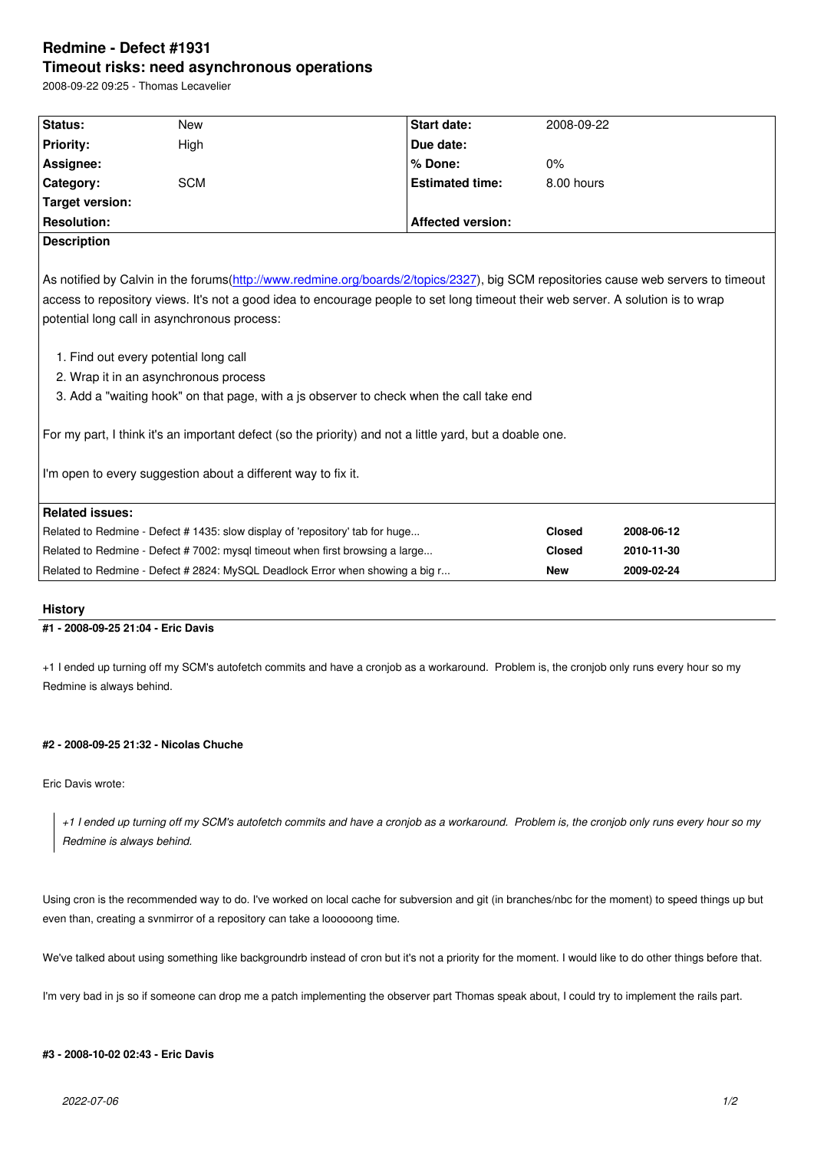#### **Timeout risks: need asynchronous operations**

2008-09-22 09:25 - Thomas Lecavelier

| Status:                                                                                                                             | <b>New</b>                                                                    | Start date:            | 2008-09-22    |            |
|-------------------------------------------------------------------------------------------------------------------------------------|-------------------------------------------------------------------------------|------------------------|---------------|------------|
| <b>Priority:</b>                                                                                                                    | High                                                                          | Due date:              |               |            |
| Assignee:                                                                                                                           |                                                                               | % Done:                | 0%            |            |
| Category:                                                                                                                           | <b>SCM</b>                                                                    | <b>Estimated time:</b> | 8.00 hours    |            |
| <b>Target version:</b>                                                                                                              |                                                                               |                        |               |            |
| <b>Resolution:</b>                                                                                                                  | <b>Affected version:</b>                                                      |                        |               |            |
| <b>Description</b>                                                                                                                  |                                                                               |                        |               |            |
|                                                                                                                                     |                                                                               |                        |               |            |
| As notified by Calvin in the forums(http://www.redmine.org/boards/2/topics/2327), big SCM repositories cause web servers to timeout |                                                                               |                        |               |            |
| access to repository views. It's not a good idea to encourage people to set long timeout their web server. A solution is to wrap    |                                                                               |                        |               |            |
| potential long call in asynchronous process:                                                                                        |                                                                               |                        |               |            |
|                                                                                                                                     |                                                                               |                        |               |            |
| 1. Find out every potential long call                                                                                               |                                                                               |                        |               |            |
| 2. Wrap it in an asynchronous process                                                                                               |                                                                               |                        |               |            |
| 3. Add a "waiting hook" on that page, with a js observer to check when the call take end                                            |                                                                               |                        |               |            |
|                                                                                                                                     |                                                                               |                        |               |            |
| For my part, I think it's an important defect (so the priority) and not a little yard, but a doable one.                            |                                                                               |                        |               |            |
|                                                                                                                                     |                                                                               |                        |               |            |
| I'm open to every suggestion about a different way to fix it.                                                                       |                                                                               |                        |               |            |
|                                                                                                                                     |                                                                               |                        |               |            |
| <b>Related issues:</b>                                                                                                              |                                                                               |                        |               |            |
|                                                                                                                                     | Related to Redmine - Defect #1435: slow display of 'repository' tab for huge  |                        | <b>Closed</b> | 2008-06-12 |
|                                                                                                                                     | Related to Redmine - Defect #7002: mysql timeout when first browsing a large  |                        | <b>Closed</b> | 2010-11-30 |
|                                                                                                                                     | Related to Redmine - Defect # 2824: MySQL Deadlock Error when showing a big r |                        | <b>New</b>    | 2009-02-24 |
|                                                                                                                                     |                                                                               |                        |               |            |

# **History**

### **#1 - 2008-09-25 21:04 - Eric Davis**

+1 I ended up turning off my SCM's autofetch commits and have a cronjob as a workaround. Problem is, the cronjob only runs every hour so my Redmine is always behind.

## **#2 - 2008-09-25 21:32 - Nicolas Chuche**

Eric Davis wrote:

*+1 I ended up turning off my SCM's autofetch commits and have a cronjob as a workaround. Problem is, the cronjob only runs every hour so my Redmine is always behind.*

Using cron is the recommended way to do. I've worked on local cache for subversion and git (in branches/nbc for the moment) to speed things up but even than, creating a svnmirror of a repository can take a loooooong time.

We've talked about using something like backgroundrb instead of cron but it's not a priority for the moment. I would like to do other things before that.

I'm very bad in js so if someone can drop me a patch implementing the observer part Thomas speak about, I could try to implement the rails part.

#### **#3 - 2008-10-02 02:43 - Eric Davis**